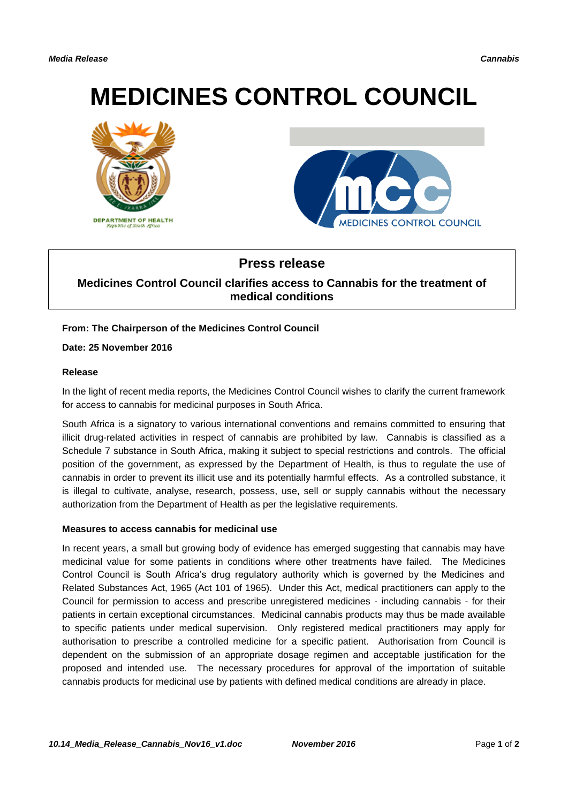# **MEDICINES CONTROL COUNCIL**





# **Press release**

## **Medicines Control Council clarifies access to Cannabis for the treatment of medical conditions**

### **From: The Chairperson of the Medicines Control Council**

#### **Date: 25 November 2016**

#### **Release**

In the light of recent media reports, the Medicines Control Council wishes to clarify the current framework for access to cannabis for medicinal purposes in South Africa.

South Africa is a signatory to various international conventions and remains committed to ensuring that illicit drug-related activities in respect of cannabis are prohibited by law. Cannabis is classified as a Schedule 7 substance in South Africa, making it subject to special restrictions and controls. The official position of the government, as expressed by the Department of Health, is thus to regulate the use of cannabis in order to prevent its illicit use and its potentially harmful effects. As a controlled substance, it is illegal to cultivate, analyse, research, possess, use, sell or supply cannabis without the necessary authorization from the Department of Health as per the legislative requirements.

#### **Measures to access cannabis for medicinal use**

In recent years, a small but growing body of evidence has emerged suggesting that cannabis may have medicinal value for some patients in conditions where other treatments have failed. The Medicines Control Council is South Africa's drug regulatory authority which is governed by the Medicines and Related Substances Act, 1965 (Act 101 of 1965). Under this Act, medical practitioners can apply to the Council for permission to access and prescribe unregistered medicines - including cannabis - for their patients in certain exceptional circumstances. Medicinal cannabis products may thus be made available to specific patients under medical supervision. Only registered medical practitioners may apply for authorisation to prescribe a controlled medicine for a specific patient. Authorisation from Council is dependent on the submission of an appropriate dosage regimen and acceptable justification for the proposed and intended use. The necessary procedures for approval of the importation of suitable cannabis products for medicinal use by patients with defined medical conditions are already in place.